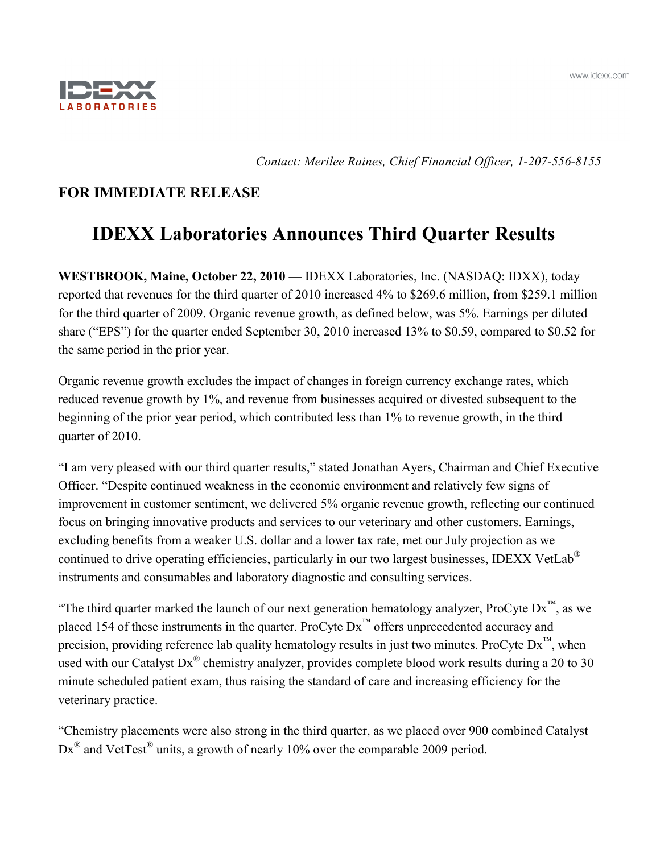

*Contact: Merilee Raines, Chief Financial Officer, 1-207-556-8155*

# **FOR IMMEDIATE RELEASE**

# **IDEXX Laboratories Announces Third Quarter Results**

**WESTBROOK, Maine, October 22, 2010** — IDEXX Laboratories, Inc. (NASDAQ: IDXX), today reported that revenues for the third quarter of 2010 increased 4% to \$269.6 million, from \$259.1 million for the third quarter of 2009. Organic revenue growth, as defined below, was 5%. Earnings per diluted share ("EPS") for the quarter ended September 30, 2010 increased 13% to \$0.59, compared to \$0.52 for the same period in the prior year.

Organic revenue growth excludes the impact of changes in foreign currency exchange rates, which reduced revenue growth by 1%, and revenue from businesses acquired or divested subsequent to the beginning of the prior year period, which contributed less than 1% to revenue growth, in the third quarter of 2010.

"I am very pleased with our third quarter results," stated Jonathan Ayers, Chairman and Chief Executive Officer. "Despite continued weakness in the economic environment and relatively few signs of improvement in customer sentiment, we delivered 5% organic revenue growth, reflecting our continued focus on bringing innovative products and services to our veterinary and other customers. Earnings, excluding benefits from a weaker U.S. dollar and a lower tax rate, met our July projection as we continued to drive operating efficiencies, particularly in our two largest businesses, IDEXX VetLab® instruments and consumables and laboratory diagnostic and consulting services.

"The third quarter marked the launch of our next generation hematology analyzer, ProCyte  $Dx^m$ , as we placed 154 of these instruments in the quarter. ProCyte Dx<sup>™</sup> offers unprecedented accuracy and precision, providing reference lab quality hematology results in just two minutes. ProCyte  $Dx^m$ , when used with our Catalyst Dx<sup>®</sup> chemistry analyzer, provides complete blood work results during a 20 to 30 minute scheduled patient exam, thus raising the standard of care and increasing efficiency for the veterinary practice.

"Chemistry placements were also strong in the third quarter, as we placed over 900 combined Catalyst Dx<sup>®</sup> and VetTest<sup>®</sup> units, a growth of nearly 10% over the comparable 2009 period.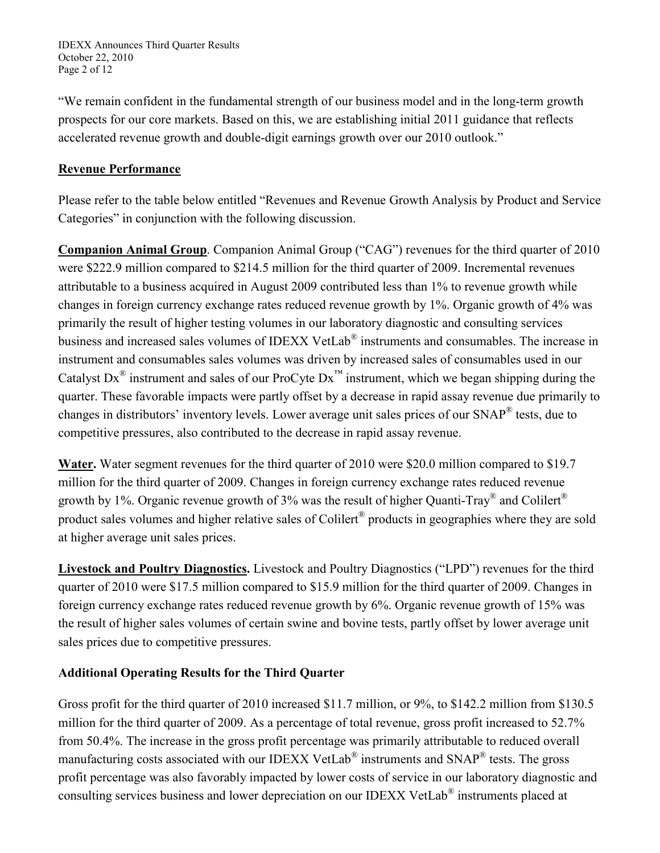IDEXX Announces Third Quarter Results October 22, 2010 Page 2 of 12

"We remain confident in the fundamental strength of our business model and in the long-term growth prospects for our core markets. Based on this, we are establishing initial 2011 guidance that reflects accelerated revenue growth and double-digit earnings growth over our 2010 outlook."

# **Revenue Performance**

Please refer to the table below entitled "Revenues and Revenue Growth Analysis by Product and Service Categories" in conjunction with the following discussion.

**Companion Animal Group**. Companion Animal Group ("CAG") revenues for the third quarter of 2010 were \$222.9 million compared to \$214.5 million for the third quarter of 2009. Incremental revenues attributable to a business acquired in August 2009 contributed less than 1% to revenue growth while changes in foreign currency exchange rates reduced revenue growth by 1%. Organic growth of 4% was primarily the result of higher testing volumes in our laboratory diagnostic and consulting services business and increased sales volumes of IDEXX VetLab® instruments and consumables. The increase in instrument and consumables sales volumes was driven by increased sales of consumables used in our Catalyst Dx<sup>®</sup> instrument and sales of our ProCyte Dx<sup>™</sup> instrument, which we began shipping during the quarter. These favorable impacts were partly offset by a decrease in rapid assay revenue due primarily to changes in distributors' inventory levels. Lower average unit sales prices of our SNAP® tests, due to competitive pressures, also contributed to the decrease in rapid assay revenue.

**Water.** Water segment revenues for the third quarter of 2010 were \$20.0 million compared to \$19.7 million for the third quarter of 2009. Changes in foreign currency exchange rates reduced revenue growth by 1%. Organic revenue growth of 3% was the result of higher Quanti-Tray<sup>®</sup> and Colilert<sup>®</sup> product sales volumes and higher relative sales of Colilert® products in geographies where they are sold at higher average unit sales prices.

**Livestock and Poultry Diagnostics .** Livestock and Poultry Diagnostics ("LPD") revenues for the third quarter of 2010 were \$17.5 million compared to \$15.9 million for the third quarter of 2009. Changes in foreign currency exchange rates reduced revenue growth by 6%. Organic revenue growth of 15% was the result of higher sales volumes of certain swine and bovine tests, partly offset by lower average unit sales prices due to competitive pressures.

# **Additional Operating Results for the Third Quarter**

Gross profit for the third quarter of 2010 increased \$11.7 million, or 9%, to \$142.2 million from \$130.5 million for the third quarter of 2009. As a percentage of total revenue, gross profit increased to 52.7% from 50.4%. The increase in the gross profit percentage was primarily attributable to reduced overall manufacturing costs associated with our IDEXX VetLab® instruments and SNAP® tests. The gross profit percentage was also favorably impacted by lower costs of service in our laboratory diagnostic and consulting services business and lower depreciation on our IDEXX VetLab® instruments placed at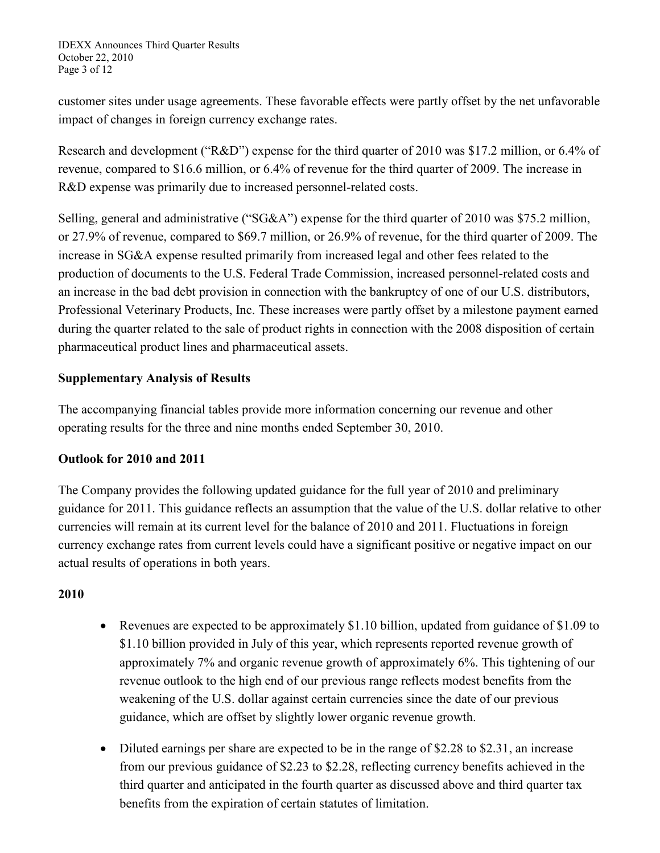IDEXX Announces Third Quarter Results October 22, 2010 Page 3 of 12

customer sites under usage agreements. These favorable effects were partly offset by the net unfavorable impact of changes in foreign currency exchange rates.

Research and development ("R&D") expense for the third quarter of 2010 was \$17.2 million, or 6.4% of revenue, compared to \$16.6 million, or 6.4% of revenue for the third quarter of 2009. The increase in R&D expense was primarily due to increased personnel-related costs.

Selling, general and administrative ("SG&A") expense for the third quarter of 2010 was \$75.2 million, or 27.9% of revenue, compared to \$69.7 million, or 26.9% of revenue, for the third quarter of 2009. The increase in SG&A expense resulted primarily from increased legal and other fees related to the production of documents to the U.S. Federal Trade Commission, increased personnel-related costs and an increase in the bad debt provision in connection with the bankruptcy of one of our U.S. distributors, Professional Veterinary Products, Inc. These increases were partly offset by a milestone payment earned during the quarter related to the sale of product rights in connection with the 2008 disposition of certain pharmaceutical product lines and pharmaceutical assets.

# **Supplementary Analysis of Results**

The accompanying financial tables provide more information concerning our revenue and other operating results for the three and nine months ended September 30, 2010.

# **Outlook for 2010 and 2011**

The Company provides the following updated guidance for the full year of 2010 and preliminary guidance for 2011. This guidance reflects an assumption that the value of the U.S. dollar relative to other currencies will remain at its current level for the balance of 2010 and 2011. Fluctuations in foreign currency exchange rates from current levels could have a significant positive or negative impact on our actual results of operations in both years.

# **2010**

- Revenues are expected to be approximately \$1.10 billion, updated from guidance of \$1.09 to \$1.10 billion provided in July of this year, which represents reported revenue growth of approximately 7% and organic revenue growth of approximately 6%. This tightening of our revenue outlook to the high end of our previous range reflects modest benefits from the weakening of the U.S. dollar against certain currencies since the date of our previous guidance, which are offset by slightly lower organic revenue growth.
- Diluted earnings per share are expected to be in the range of \$2.28 to \$2.31, an increase from our previous guidance of \$2.23 to \$2.28, reflecting currency benefits achieved in the third quarter and anticipated in the fourth quarter as discussed above and third quarter tax benefits from the expiration of certain statutes of limitation.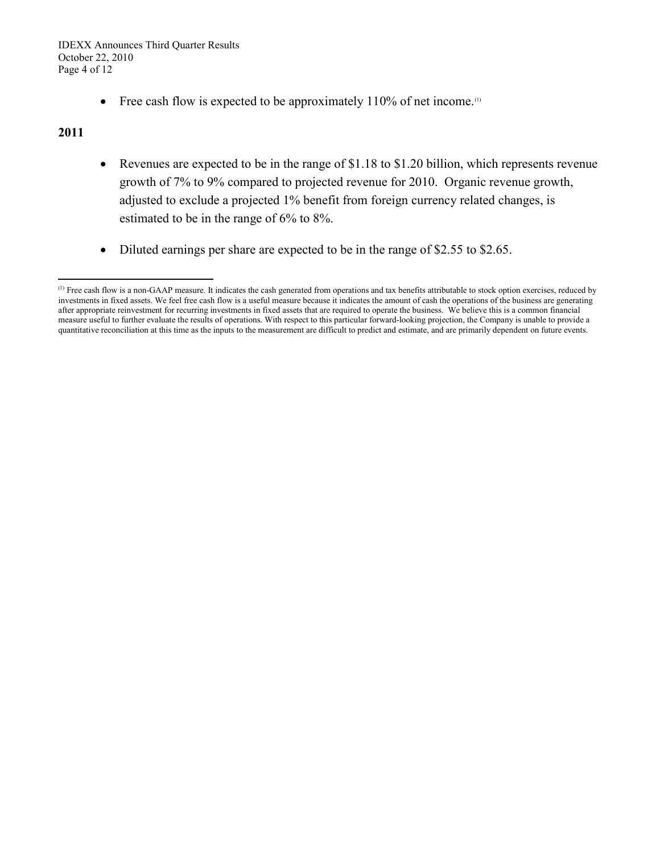IDEXX Announces Third Quarter Results October 22, 2010 Page 4 of 12

• Free cash flow is expected to be approximately  $110\%$  of net income.<sup>[\(1\)](#page-3-0)</sup>

### **2011**

- Revenues are expected to be in the range of \$1.18 to \$1.20 billion, which represents revenue growth of 7% to 9% compared to projected revenue for 2010. Organic revenue growth, adjusted to exclude a projected 1% benefit from foreign currency related changes, is estimated to be in the range of 6% to 8%.
- Diluted earnings per share are expected to be in the range of \$2.55 to \$2.65.

<span id="page-3-0"></span> <sup>(1)</sup> Free cash flow is a non-GAAP measure. It indicates the cash generated from operations and tax benefits attributable to stock option exercises, reduced by investments in fixed assets. We feel free cash flow is a useful measure because it indicates the amount of cash the operations of the business are generating after appropriate reinvestment for recurring investments in fixed assets that are required to operate the business. We believe this is a common financial measure useful to further evaluate the results of operations. With respect to this particular forward-looking projection, the Company is unable to provide a quantitative reconciliation at this time as the inputs to the measurement are difficult to predict and estimate, and are primarily dependent on future events.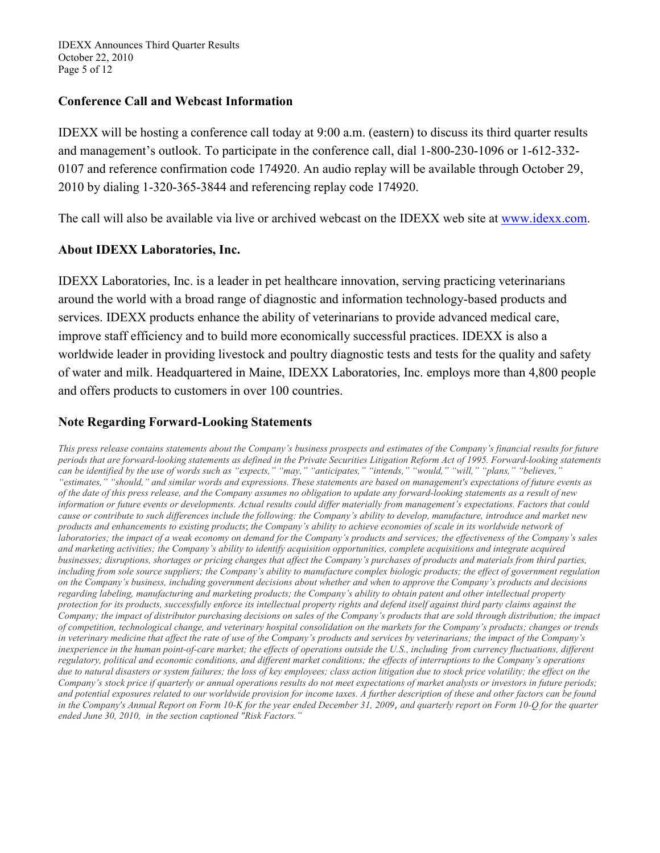IDEXX Announces Third Quarter Results October 22, 2010 Page 5 of 12

### **Conference Call and Webcast Information**

IDEXX will be hosting a conference call today at 9:00 a.m. (eastern) to discuss its third quarter results and management's outlook. To participate in the conference call, dial 1-800-230-1096 or 1-612-332- 0107 and reference confirmation code 174920. An audio replay will be available through October 29, 2010 by dialing 1-320-365-3844 and referencing replay code 174920.

The call will also be available via live or archived webcast on the IDEXX web site at [www.idexx.com.](http://www.idexx.com/)

# **About IDEXX Laboratories, Inc.**

IDEXX Laboratories, Inc. is a leader in pet healthcare innovation, serving practicing veterinarians around the world with a broad range of diagnostic and information technology-based products and services. IDEXX products enhance the ability of veterinarians to provide advanced medical care, improve staff efficiency and to build more economically successful practices. IDEXX is also a worldwide leader in providing livestock and poultry diagnostic tests and tests for the quality and safety of water and milk. Headquartered in Maine, IDEXX Laboratories, Inc. employs more than 4,800 people and offers products to customers in over 100 countries.

### **Note Regarding Forward-Looking Statements**

*This press release contains statements about the Company's business prospects and estimates of the Company's financial results for future periods that are forward-looking statements as defined in the Private Securities Litigation Reform Act of 1995. Forward-looking statements can be identified by the use of words such as "expects," "may," "anticipates," "intends," "would," "will," "plans," "believes," "estimates," "should," and similar words and expressions. These statements are based on management's expectations of future events as of the date of this press release, and the Company assumes no obligation to update any forward-looking statements as a result of new information or future events or developments. Actual results could differ materially from management's expectations. Factors that could cause or contribute to such differences include the following: the Company's ability to develop, manufacture, introduce and market new products and enhancements to existing products*; *the Company's ability to achieve economies of scale in its worldwide network of laboratories; the impact of a weak economy on demand for the Company's products and services; the effectiveness of the Company's sales and marketing activities; the Company's ability to identify acquisition opportunities, complete acquisitions and integrate acquired businesses; disruptions, shortages or pricing changes that affect the Company's purchases of products and materials from third parties, including from sole source suppliers; the Company's ability to manufacture complex biologic products; the effect of government regulation on the Company's business, including government decisions about whether and when to approve the Company's products and decisions regarding labeling, manufacturing and marketing products; the Company's ability to obtain patent and other intellectual property protection for its products, successfully enforce its intellectual property rights and defend itself against third party claims against the Company; the impact of distributor purchasing decisions on sales of the Company's products that are sold through distribution; the impact of competition, technological change, and veterinary hospital consolidation on the markets for the Company's products; changes or trends in veterinary medicine that affect the rate of use of the Company's products and services by veterinarians; the impact of the Company's inexperience in the human point-of-care market; the effects of operations outside the U.S., including from currency fluctuations, different regulatory, political and economic conditions, and different market conditions; the effects of interruptions to the Company's operations due to natural disasters or system failures; the loss of key employees; class action litigation due to stock price volatility; the effect on the Company's stock price if quarterly or annual operations results do not meet expectations of market analysts or investors in future periods; and potential exposures related to our worldwide provision for income taxes. A further description of these and other factors can be found in the Company's Annual Report on Form 10-K for the year ended December 31, 2009*, *and quarterly report on Form 10-Q for the quarter ended June 30, 2010, in the section captioned "Risk Factors."*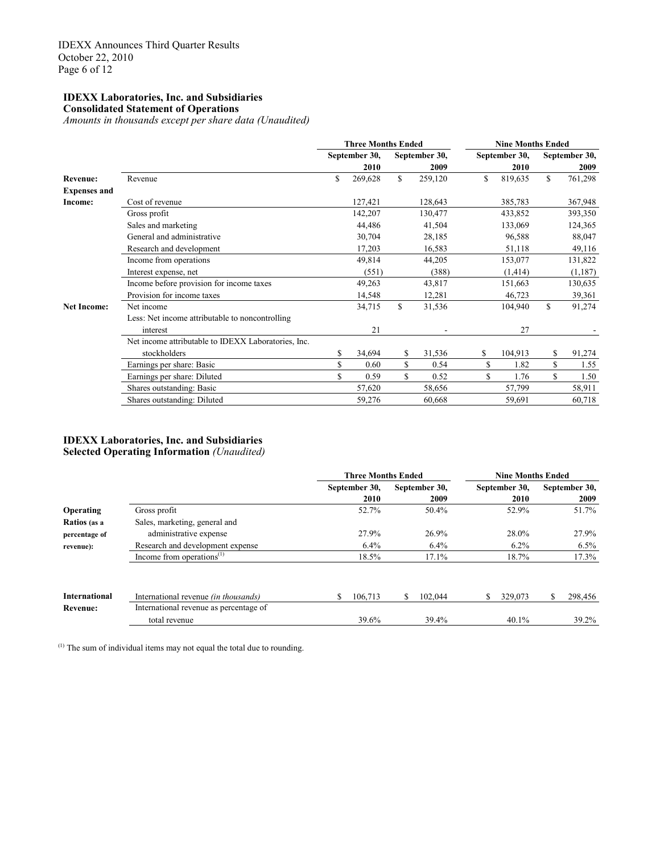#### **IDEXX Laboratories, Inc. and Subsidiaries Consolidated Statement of Operations**

*Amounts in thousands except per share data (Unaudited)*

|                     |                                                     | <b>Three Months Ended</b> |    |               | <b>Nine Months Ended</b> |               |               |               |  |  |
|---------------------|-----------------------------------------------------|---------------------------|----|---------------|--------------------------|---------------|---------------|---------------|--|--|
|                     |                                                     | September 30,             |    | September 30, |                          | September 30, |               | September 30, |  |  |
|                     |                                                     | 2010                      |    | 2009          |                          | 2010          |               | 2009          |  |  |
| <b>Revenue:</b>     | Revenue                                             | \$<br>269,628             | \$ | 259,120       | \$                       | 819,635       | \$            | 761,298       |  |  |
| <b>Expenses and</b> |                                                     |                           |    |               |                          |               |               |               |  |  |
| Income:             | Cost of revenue                                     | 127,421                   |    | 128,643       |                          | 385,783       |               | 367,948       |  |  |
|                     | Gross profit                                        | 142,207                   |    | 130,477       |                          | 433,852       |               | 393,350       |  |  |
|                     | Sales and marketing                                 | 44,486                    |    | 41,504        |                          | 133,069       |               | 124,365       |  |  |
|                     | General and administrative                          | 30,704                    |    | 28,185        |                          | 96,588        |               | 88,047        |  |  |
|                     | Research and development                            | 17,203                    |    | 16,583        |                          | 51,118        |               | 49,116        |  |  |
|                     | Income from operations                              | 49,814                    |    | 44,205        |                          | 153,077       |               | 131,822       |  |  |
|                     | Interest expense, net                               | (551)                     |    | (388)         |                          | (1, 414)      |               | (1,187)       |  |  |
|                     | Income before provision for income taxes            | 49,263                    |    | 43,817        |                          | 151,663       |               | 130,635       |  |  |
|                     | Provision for income taxes                          | 14,548                    |    | 12,281        |                          | 46,723        |               | 39,361        |  |  |
| <b>Net Income:</b>  | Net income                                          | 34,715                    | \$ | 31,536        |                          | 104,940       | \$            | 91,274        |  |  |
|                     | Less: Net income attributable to noncontrolling     |                           |    |               |                          |               |               |               |  |  |
|                     | interest                                            | 21                        |    |               |                          | 27            |               |               |  |  |
|                     | Net income attributable to IDEXX Laboratories, Inc. |                           |    |               |                          |               |               |               |  |  |
|                     | stockholders                                        | \$<br>34,694              | \$ | 31,536        | \$                       | 104,913       | \$            | 91,274        |  |  |
|                     | Earnings per share: Basic                           | \$<br>0.60                | \$ | 0.54          | \$                       | 1.82          | \$            | 1.55          |  |  |
|                     | Earnings per share: Diluted                         | \$<br>0.59                | \$ | 0.52          | \$                       | 1.76          | <sup>\$</sup> | 1.50          |  |  |
|                     | Shares outstanding: Basic                           | 57,620                    |    | 58,656        |                          | 57,799        |               | 58,911        |  |  |
|                     | Shares outstanding: Diluted                         | 59,276                    |    | 60,668        |                          | 59,691        |               | 60,718        |  |  |

# **IDEXX Laboratories, Inc. and Subsidiaries**

**Selected Operating Information** *(Unaudited)*

|                      |                                                         | <b>Three Months Ended</b> |               | <b>Nine Months Ended</b> |               |  |  |  |  |
|----------------------|---------------------------------------------------------|---------------------------|---------------|--------------------------|---------------|--|--|--|--|
|                      |                                                         | September 30,             | September 30, | September 30,            | September 30, |  |  |  |  |
|                      |                                                         | 2010                      | 2009          | 2010                     | 2009          |  |  |  |  |
| Operating            | Gross profit                                            | 52.7%                     | 50.4%         | 52.9%                    | 51.7%         |  |  |  |  |
| Ratios (as a         | Sales, marketing, general and                           |                           |               |                          |               |  |  |  |  |
| percentage of        | administrative expense                                  | 27.9%                     | 26.9%         | 28.0%                    | 27.9%         |  |  |  |  |
| revenue):            | Research and development expense                        | 6.4%                      | $6.4\%$       | $6.2\%$                  | 6.5%          |  |  |  |  |
|                      | Income from operations $(1)$                            | 18.5%                     | 17.1%         | 18.7%                    | 17.3%         |  |  |  |  |
| <b>International</b> | International revenue <i>(in thousands)</i>             | \$.<br>106,713            | 102,044<br>ъ. | 329,073<br>S.            | 298,456<br>S  |  |  |  |  |
| <b>Revenue:</b>      | International revenue as percentage of<br>total revenue | 39.6%                     | 39.4%         | 40.1%                    | 39.2%         |  |  |  |  |

(1) The sum of individual items may not equal the total due to rounding.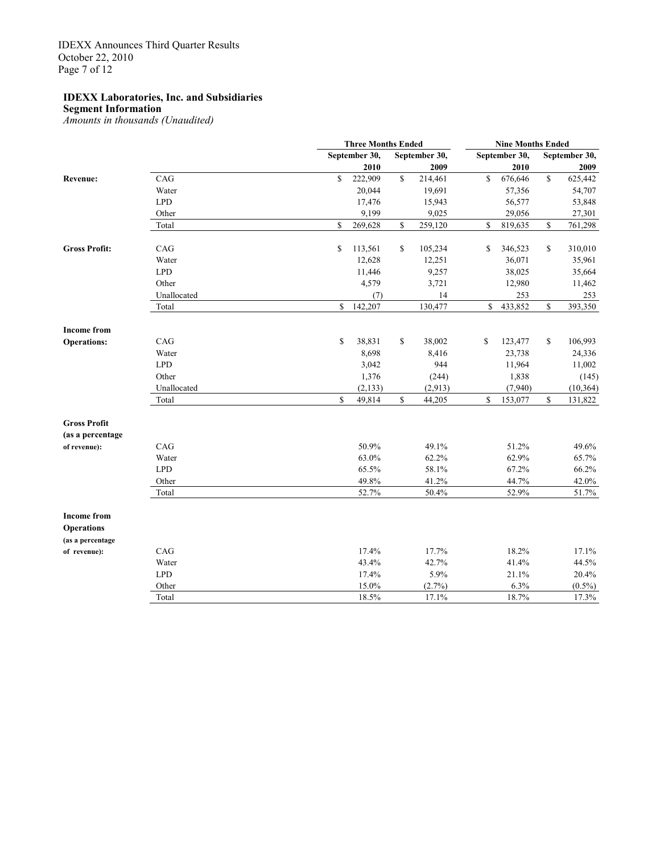**Segment Information**

*Amounts in thousands (Unaudited)*

| September 30,<br>September 30,<br>September 30,<br>September 30,<br>2010<br>2010<br>2009<br>2009<br>$\mathbf S$<br>\$<br>CAG<br>222,909<br>$\mathbb{S}$<br>\$<br>676,646<br>625,442<br><b>Revenue:</b><br>214,461<br>Water<br>20,044<br>19,691<br>57,356<br>54,707<br><b>LPD</b><br>17,476<br>53,848<br>15,943<br>56,577<br>Other<br>9,199<br>9,025<br>27,301<br>29,056<br>$\mathbb{S}$<br>269,628<br>\$<br>259,120<br>\$<br>819,635<br>\$<br>761,298<br>Total<br><b>Gross Profit:</b><br>CAG<br>S<br>105,234<br>\$<br>310,010<br>113,561<br>\$<br>\$<br>346,523<br>Water<br>36,071<br>12,628<br>12,251<br>35,961<br><b>LPD</b><br>11,446<br>9,257<br>38,025<br>35,664<br>Other<br>4,579<br>3,721<br>12,980<br>11,462<br>Unallocated<br>253<br>(7)<br>14<br>253<br>\$<br>142,207<br>$\mathbf S$<br>433,852<br>\$<br>130,477<br>Total<br><b>Income from</b><br>CAG<br>\$<br>38,831<br>\$<br>38,002<br>\$<br>106,993<br><b>Operations:</b><br>\$<br>123,477<br>Water<br>8,698<br>8,416<br>23,738<br>24,336<br><b>LPD</b><br>3,042<br>944<br>11,964<br>11,002<br>Other<br>1,376<br>(244)<br>1,838<br>(145)<br>(2,913)<br>Unallocated<br>(2, 133)<br>(7,940)<br>(10, 364)<br>$\mathbf S$<br>$\mathbf S$<br>$\mathbf S$<br>\$<br>49,814<br>44,205<br>153,077<br>131,822<br>Total<br><b>Gross Profit</b><br>(as a percentage<br>50.9%<br>CAG<br>49.1%<br>51.2%<br>49.6%<br>of revenue):<br>Water<br>63.0%<br>62.2%<br>62.9%<br>65.7%<br><b>LPD</b><br>65.5%<br>58.1%<br>67.2%<br>66.2%<br>Other<br>49.8%<br>41.2%<br>44.7%<br>42.0%<br>50.4%<br>52.9%<br>Total<br>52.7%<br>51.7%<br><b>Income from</b><br><b>Operations</b><br>(as a percentage<br>CAG<br>17.4%<br>17.7%<br>18.2%<br>17.1%<br>of revenue):<br>Water<br>43.4%<br>42.7%<br>41.4%<br>44.5%<br><b>LPD</b><br>5.9%<br>17.4%<br>21.1%<br>20.4%<br>15.0%<br>$(2.7\%)$<br>6.3%<br>Other<br>$(0.5\%)$<br>17.1%<br>18.7%<br>Total<br>18.5%<br>17.3% |  | <b>Three Months Ended</b> |  | <b>Nine Months Ended</b> |  |         |
|-----------------------------------------------------------------------------------------------------------------------------------------------------------------------------------------------------------------------------------------------------------------------------------------------------------------------------------------------------------------------------------------------------------------------------------------------------------------------------------------------------------------------------------------------------------------------------------------------------------------------------------------------------------------------------------------------------------------------------------------------------------------------------------------------------------------------------------------------------------------------------------------------------------------------------------------------------------------------------------------------------------------------------------------------------------------------------------------------------------------------------------------------------------------------------------------------------------------------------------------------------------------------------------------------------------------------------------------------------------------------------------------------------------------------------------------------------------------------------------------------------------------------------------------------------------------------------------------------------------------------------------------------------------------------------------------------------------------------------------------------------------------------------------------------------------------------------------------------------------------------------------------------------|--|---------------------------|--|--------------------------|--|---------|
|                                                                                                                                                                                                                                                                                                                                                                                                                                                                                                                                                                                                                                                                                                                                                                                                                                                                                                                                                                                                                                                                                                                                                                                                                                                                                                                                                                                                                                                                                                                                                                                                                                                                                                                                                                                                                                                                                                     |  |                           |  |                          |  |         |
|                                                                                                                                                                                                                                                                                                                                                                                                                                                                                                                                                                                                                                                                                                                                                                                                                                                                                                                                                                                                                                                                                                                                                                                                                                                                                                                                                                                                                                                                                                                                                                                                                                                                                                                                                                                                                                                                                                     |  |                           |  |                          |  |         |
|                                                                                                                                                                                                                                                                                                                                                                                                                                                                                                                                                                                                                                                                                                                                                                                                                                                                                                                                                                                                                                                                                                                                                                                                                                                                                                                                                                                                                                                                                                                                                                                                                                                                                                                                                                                                                                                                                                     |  |                           |  |                          |  |         |
|                                                                                                                                                                                                                                                                                                                                                                                                                                                                                                                                                                                                                                                                                                                                                                                                                                                                                                                                                                                                                                                                                                                                                                                                                                                                                                                                                                                                                                                                                                                                                                                                                                                                                                                                                                                                                                                                                                     |  |                           |  |                          |  |         |
|                                                                                                                                                                                                                                                                                                                                                                                                                                                                                                                                                                                                                                                                                                                                                                                                                                                                                                                                                                                                                                                                                                                                                                                                                                                                                                                                                                                                                                                                                                                                                                                                                                                                                                                                                                                                                                                                                                     |  |                           |  |                          |  |         |
|                                                                                                                                                                                                                                                                                                                                                                                                                                                                                                                                                                                                                                                                                                                                                                                                                                                                                                                                                                                                                                                                                                                                                                                                                                                                                                                                                                                                                                                                                                                                                                                                                                                                                                                                                                                                                                                                                                     |  |                           |  |                          |  |         |
|                                                                                                                                                                                                                                                                                                                                                                                                                                                                                                                                                                                                                                                                                                                                                                                                                                                                                                                                                                                                                                                                                                                                                                                                                                                                                                                                                                                                                                                                                                                                                                                                                                                                                                                                                                                                                                                                                                     |  |                           |  |                          |  |         |
|                                                                                                                                                                                                                                                                                                                                                                                                                                                                                                                                                                                                                                                                                                                                                                                                                                                                                                                                                                                                                                                                                                                                                                                                                                                                                                                                                                                                                                                                                                                                                                                                                                                                                                                                                                                                                                                                                                     |  |                           |  |                          |  |         |
|                                                                                                                                                                                                                                                                                                                                                                                                                                                                                                                                                                                                                                                                                                                                                                                                                                                                                                                                                                                                                                                                                                                                                                                                                                                                                                                                                                                                                                                                                                                                                                                                                                                                                                                                                                                                                                                                                                     |  |                           |  |                          |  |         |
|                                                                                                                                                                                                                                                                                                                                                                                                                                                                                                                                                                                                                                                                                                                                                                                                                                                                                                                                                                                                                                                                                                                                                                                                                                                                                                                                                                                                                                                                                                                                                                                                                                                                                                                                                                                                                                                                                                     |  |                           |  |                          |  |         |
|                                                                                                                                                                                                                                                                                                                                                                                                                                                                                                                                                                                                                                                                                                                                                                                                                                                                                                                                                                                                                                                                                                                                                                                                                                                                                                                                                                                                                                                                                                                                                                                                                                                                                                                                                                                                                                                                                                     |  |                           |  |                          |  |         |
|                                                                                                                                                                                                                                                                                                                                                                                                                                                                                                                                                                                                                                                                                                                                                                                                                                                                                                                                                                                                                                                                                                                                                                                                                                                                                                                                                                                                                                                                                                                                                                                                                                                                                                                                                                                                                                                                                                     |  |                           |  |                          |  |         |
|                                                                                                                                                                                                                                                                                                                                                                                                                                                                                                                                                                                                                                                                                                                                                                                                                                                                                                                                                                                                                                                                                                                                                                                                                                                                                                                                                                                                                                                                                                                                                                                                                                                                                                                                                                                                                                                                                                     |  |                           |  |                          |  | 393,350 |
|                                                                                                                                                                                                                                                                                                                                                                                                                                                                                                                                                                                                                                                                                                                                                                                                                                                                                                                                                                                                                                                                                                                                                                                                                                                                                                                                                                                                                                                                                                                                                                                                                                                                                                                                                                                                                                                                                                     |  |                           |  |                          |  |         |
|                                                                                                                                                                                                                                                                                                                                                                                                                                                                                                                                                                                                                                                                                                                                                                                                                                                                                                                                                                                                                                                                                                                                                                                                                                                                                                                                                                                                                                                                                                                                                                                                                                                                                                                                                                                                                                                                                                     |  |                           |  |                          |  |         |
|                                                                                                                                                                                                                                                                                                                                                                                                                                                                                                                                                                                                                                                                                                                                                                                                                                                                                                                                                                                                                                                                                                                                                                                                                                                                                                                                                                                                                                                                                                                                                                                                                                                                                                                                                                                                                                                                                                     |  |                           |  |                          |  |         |
|                                                                                                                                                                                                                                                                                                                                                                                                                                                                                                                                                                                                                                                                                                                                                                                                                                                                                                                                                                                                                                                                                                                                                                                                                                                                                                                                                                                                                                                                                                                                                                                                                                                                                                                                                                                                                                                                                                     |  |                           |  |                          |  |         |
|                                                                                                                                                                                                                                                                                                                                                                                                                                                                                                                                                                                                                                                                                                                                                                                                                                                                                                                                                                                                                                                                                                                                                                                                                                                                                                                                                                                                                                                                                                                                                                                                                                                                                                                                                                                                                                                                                                     |  |                           |  |                          |  |         |
|                                                                                                                                                                                                                                                                                                                                                                                                                                                                                                                                                                                                                                                                                                                                                                                                                                                                                                                                                                                                                                                                                                                                                                                                                                                                                                                                                                                                                                                                                                                                                                                                                                                                                                                                                                                                                                                                                                     |  |                           |  |                          |  |         |
|                                                                                                                                                                                                                                                                                                                                                                                                                                                                                                                                                                                                                                                                                                                                                                                                                                                                                                                                                                                                                                                                                                                                                                                                                                                                                                                                                                                                                                                                                                                                                                                                                                                                                                                                                                                                                                                                                                     |  |                           |  |                          |  |         |
|                                                                                                                                                                                                                                                                                                                                                                                                                                                                                                                                                                                                                                                                                                                                                                                                                                                                                                                                                                                                                                                                                                                                                                                                                                                                                                                                                                                                                                                                                                                                                                                                                                                                                                                                                                                                                                                                                                     |  |                           |  |                          |  |         |
|                                                                                                                                                                                                                                                                                                                                                                                                                                                                                                                                                                                                                                                                                                                                                                                                                                                                                                                                                                                                                                                                                                                                                                                                                                                                                                                                                                                                                                                                                                                                                                                                                                                                                                                                                                                                                                                                                                     |  |                           |  |                          |  |         |
|                                                                                                                                                                                                                                                                                                                                                                                                                                                                                                                                                                                                                                                                                                                                                                                                                                                                                                                                                                                                                                                                                                                                                                                                                                                                                                                                                                                                                                                                                                                                                                                                                                                                                                                                                                                                                                                                                                     |  |                           |  |                          |  |         |
|                                                                                                                                                                                                                                                                                                                                                                                                                                                                                                                                                                                                                                                                                                                                                                                                                                                                                                                                                                                                                                                                                                                                                                                                                                                                                                                                                                                                                                                                                                                                                                                                                                                                                                                                                                                                                                                                                                     |  |                           |  |                          |  |         |
|                                                                                                                                                                                                                                                                                                                                                                                                                                                                                                                                                                                                                                                                                                                                                                                                                                                                                                                                                                                                                                                                                                                                                                                                                                                                                                                                                                                                                                                                                                                                                                                                                                                                                                                                                                                                                                                                                                     |  |                           |  |                          |  |         |
|                                                                                                                                                                                                                                                                                                                                                                                                                                                                                                                                                                                                                                                                                                                                                                                                                                                                                                                                                                                                                                                                                                                                                                                                                                                                                                                                                                                                                                                                                                                                                                                                                                                                                                                                                                                                                                                                                                     |  |                           |  |                          |  |         |
|                                                                                                                                                                                                                                                                                                                                                                                                                                                                                                                                                                                                                                                                                                                                                                                                                                                                                                                                                                                                                                                                                                                                                                                                                                                                                                                                                                                                                                                                                                                                                                                                                                                                                                                                                                                                                                                                                                     |  |                           |  |                          |  |         |
|                                                                                                                                                                                                                                                                                                                                                                                                                                                                                                                                                                                                                                                                                                                                                                                                                                                                                                                                                                                                                                                                                                                                                                                                                                                                                                                                                                                                                                                                                                                                                                                                                                                                                                                                                                                                                                                                                                     |  |                           |  |                          |  |         |
|                                                                                                                                                                                                                                                                                                                                                                                                                                                                                                                                                                                                                                                                                                                                                                                                                                                                                                                                                                                                                                                                                                                                                                                                                                                                                                                                                                                                                                                                                                                                                                                                                                                                                                                                                                                                                                                                                                     |  |                           |  |                          |  |         |
|                                                                                                                                                                                                                                                                                                                                                                                                                                                                                                                                                                                                                                                                                                                                                                                                                                                                                                                                                                                                                                                                                                                                                                                                                                                                                                                                                                                                                                                                                                                                                                                                                                                                                                                                                                                                                                                                                                     |  |                           |  |                          |  |         |
|                                                                                                                                                                                                                                                                                                                                                                                                                                                                                                                                                                                                                                                                                                                                                                                                                                                                                                                                                                                                                                                                                                                                                                                                                                                                                                                                                                                                                                                                                                                                                                                                                                                                                                                                                                                                                                                                                                     |  |                           |  |                          |  |         |
|                                                                                                                                                                                                                                                                                                                                                                                                                                                                                                                                                                                                                                                                                                                                                                                                                                                                                                                                                                                                                                                                                                                                                                                                                                                                                                                                                                                                                                                                                                                                                                                                                                                                                                                                                                                                                                                                                                     |  |                           |  |                          |  |         |
|                                                                                                                                                                                                                                                                                                                                                                                                                                                                                                                                                                                                                                                                                                                                                                                                                                                                                                                                                                                                                                                                                                                                                                                                                                                                                                                                                                                                                                                                                                                                                                                                                                                                                                                                                                                                                                                                                                     |  |                           |  |                          |  |         |
|                                                                                                                                                                                                                                                                                                                                                                                                                                                                                                                                                                                                                                                                                                                                                                                                                                                                                                                                                                                                                                                                                                                                                                                                                                                                                                                                                                                                                                                                                                                                                                                                                                                                                                                                                                                                                                                                                                     |  |                           |  |                          |  |         |
|                                                                                                                                                                                                                                                                                                                                                                                                                                                                                                                                                                                                                                                                                                                                                                                                                                                                                                                                                                                                                                                                                                                                                                                                                                                                                                                                                                                                                                                                                                                                                                                                                                                                                                                                                                                                                                                                                                     |  |                           |  |                          |  |         |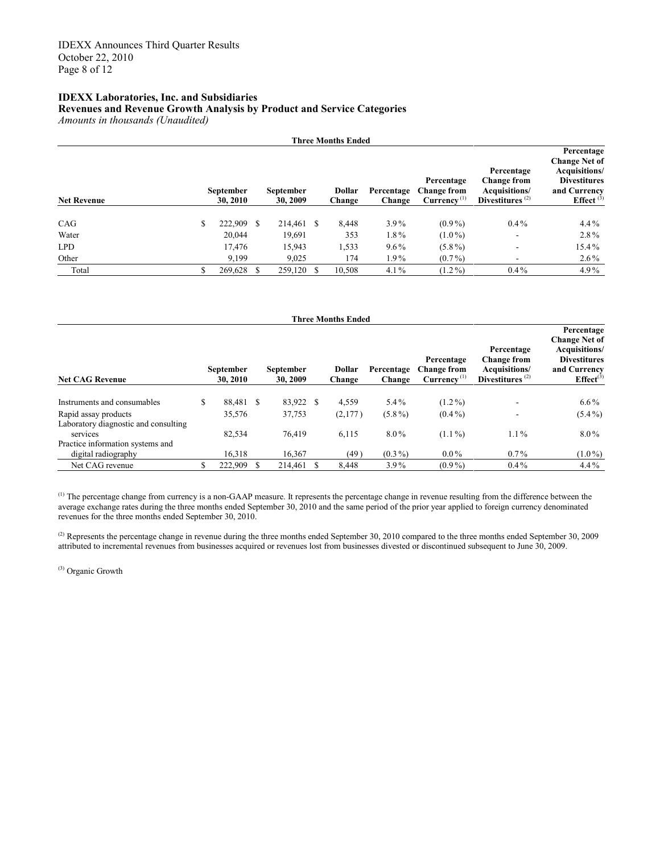**Revenues and Revenue Growth Analysis by Product and Service Categories**

*Amounts in thousands (Unaudited)*

| <b>Three Months Ended</b> |    |                              |   |                              |      |                         |                      |                                                             |                                                                         |                                                                                                            |  |  |  |
|---------------------------|----|------------------------------|---|------------------------------|------|-------------------------|----------------------|-------------------------------------------------------------|-------------------------------------------------------------------------|------------------------------------------------------------------------------------------------------------|--|--|--|
| <b>Net Revenue</b>        |    | <b>September</b><br>30, 2010 |   | <b>September</b><br>30, 2009 |      | <b>Dollar</b><br>Change | Percentage<br>Change | Percentage<br><b>Change from</b><br>Curreney <sup>(1)</sup> | Percentage<br><b>Change from</b><br>Acquisitions/<br>Divestitures $(2)$ | Percentage<br><b>Change Net of</b><br>Acquisitions/<br><b>Divestitures</b><br>and Currency<br>Effect $(3)$ |  |  |  |
| CAG                       | \$ | 222,909                      | S | 214,461                      | - \$ | 8,448                   | $3.9\%$              | $(0.9\%)$                                                   | $0.4\%$                                                                 | $4.4\%$                                                                                                    |  |  |  |
| Water                     |    | 20,044                       |   | 19,691                       |      | 353                     | $1.8\%$              | $(1.0\%)$                                                   |                                                                         | 2.8%                                                                                                       |  |  |  |
| <b>LPD</b>                |    | 17,476                       |   | 15,943                       |      | 1,533                   | $9.6\%$              | $(5.8\%)$                                                   | $\sim$                                                                  | $15.4\%$                                                                                                   |  |  |  |
| Other                     |    | 9.199                        |   | 9,025                        |      | 174                     | $1.9\%$              | $(0.7\%)$                                                   |                                                                         | $2.6\%$                                                                                                    |  |  |  |
| Total                     | Φ  | 269,628                      |   | 259,120                      |      | 10,508                  | $4.1\%$              | $(1.2\%)$                                                   | $0.4\%$                                                                 | 4.9%                                                                                                       |  |  |  |

|                                                              |                              |    |                       |    | <b>Three Months Ended</b> |                      |                                                               |                                                                         |                                                                                                                     |
|--------------------------------------------------------------|------------------------------|----|-----------------------|----|---------------------------|----------------------|---------------------------------------------------------------|-------------------------------------------------------------------------|---------------------------------------------------------------------------------------------------------------------|
| <b>Net CAG Revenue</b>                                       | <b>September</b><br>30, 2010 |    | September<br>30, 2009 |    | <b>Dollar</b><br>Change   | Percentage<br>Change | Percentage<br><b>Change from</b><br>$Currence$ <sup>(1)</sup> | Percentage<br><b>Change from</b><br>Acquisitions/<br>Divestitures $(2)$ | Percentage<br><b>Change Net of</b><br>Acquisitions/<br><b>Divestitures</b><br>and Currency<br>Effect <sup>(3)</sup> |
| Instruments and consumables                                  | \$<br>88,481                 | -S | 83,922                | -S | 4,559                     | 5.4%                 | $(1.2\%)$                                                     | -                                                                       | $6.6\%$                                                                                                             |
| Rapid assay products<br>Laboratory diagnostic and consulting | 35,576                       |    | 37,753                |    | (2,177)                   | $(5.8\%)$            | $(0.4\%)$                                                     |                                                                         | $(5.4\%)$                                                                                                           |
| services<br>Practice information systems and                 | 82,534                       |    | 76.419                |    | 6,115                     | $8.0\%$              | $(1.1\%)$                                                     | $1.1\%$                                                                 | $8.0\%$                                                                                                             |
| digital radiography                                          | 16,318                       |    | 16,367                |    | (49)                      | $(0.3\%)$            | $0.0\%$                                                       | $0.7\%$                                                                 | $(1.0\%)$                                                                                                           |
| Net CAG revenue                                              | 222,909                      |    | 214,461               |    | 8,448                     | $3.9\%$              | $(0.9\%)$                                                     | $0.4\%$                                                                 | $4.4\%$                                                                                                             |

 $<sup>(1)</sup>$  The percentage change from currency is a non-GAAP measure. It represents the percentage change in revenue resulting from the difference between the</sup> average exchange rates during the three months ended September 30, 2010 and the same period of the prior year applied to foreign currency denominated revenues for the three months ended September 30, 2010.

 $^{(2)}$  Represents the percentage change in revenue during the three months ended September 30, 2010 compared to the three months ended September 30, 2009 attributed to incremental revenues from businesses acquired or revenues lost from businesses divested or discontinued subsequent to June 30, 2009.

(3) Organic Growth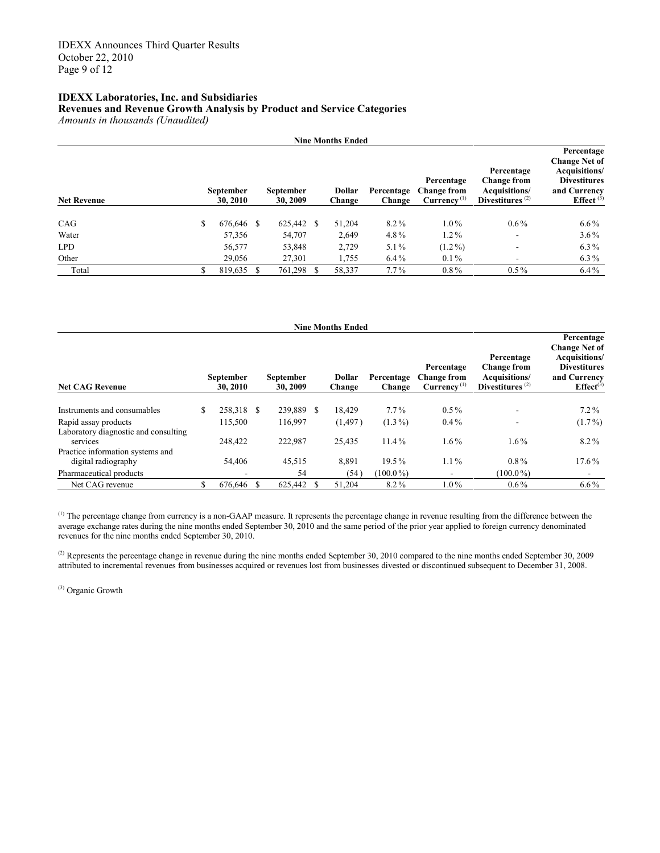#### **IDEXX Laboratories, Inc. and Subsidiaries Revenues and Revenue Growth Analysis by Product and Service Categories**

*Amounts in thousands (Unaudited)*

|                    | <b>Nine Months Ended</b> |                       |    |                       |     |                  |                      |                                                             |                                                                         |                                                                                                            |  |  |  |  |
|--------------------|--------------------------|-----------------------|----|-----------------------|-----|------------------|----------------------|-------------------------------------------------------------|-------------------------------------------------------------------------|------------------------------------------------------------------------------------------------------------|--|--|--|--|
| <b>Net Revenue</b> |                          | September<br>30, 2010 |    | September<br>30, 2009 |     | Dollar<br>Change | Percentage<br>Change | Percentage<br><b>Change from</b><br>Currence <sup>(1)</sup> | Percentage<br><b>Change from</b><br>Acquisitions/<br>Divestitures $(2)$ | Percentage<br><b>Change Net of</b><br>Acquisitions/<br><b>Divestitures</b><br>and Currency<br>Effect $(3)$ |  |  |  |  |
| CAG                | \$                       | 676,646               | -S | 625,442               | - S | 51,204           | 8.2%                 | $1.0\%$                                                     | $0.6\%$                                                                 | $6.6\%$                                                                                                    |  |  |  |  |
| Water              |                          | 57,356                |    | 54,707                |     | 2,649            | 4.8%                 | $1.2\%$                                                     | $\overline{\phantom{a}}$                                                | $3.6\%$                                                                                                    |  |  |  |  |
| <b>LPD</b>         |                          | 56,577                |    | 53,848                |     | 2,729            | $5.1\%$              | $(1.2\%)$                                                   | $\sim$                                                                  | $6.3\%$                                                                                                    |  |  |  |  |
| Other              |                          | 29,056                |    | 27,301                |     | 1,755            | $6.4\%$              | $0.1\%$                                                     |                                                                         | $6.3\%$                                                                                                    |  |  |  |  |
| Total              | \$                       | 819,635               |    | 761,298               |     | 58,337           | $7.7\%$              | $0.8\%$                                                     | $0.5\%$                                                                 | $6.4\%$                                                                                                    |  |  |  |  |

|                                                              |   |                              |    |                              |    | <b>Nine Months Ended</b> |                      |                                                               |                                                                            |                                                                                                                     |
|--------------------------------------------------------------|---|------------------------------|----|------------------------------|----|--------------------------|----------------------|---------------------------------------------------------------|----------------------------------------------------------------------------|---------------------------------------------------------------------------------------------------------------------|
| <b>Net CAG Revenue</b>                                       |   | <b>September</b><br>30, 2010 |    | <b>September</b><br>30, 2009 |    | <b>Dollar</b><br>Change  | Percentage<br>Change | Percentage<br><b>Change from</b><br>$Curreney$ <sup>(1)</sup> | Percentage<br><b>Change from</b><br>Acquisitions/<br>Divestitures $^{(2)}$ | Percentage<br><b>Change Net of</b><br>Acquisitions/<br><b>Divestitures</b><br>and Currency<br>Effect <sup>(3)</sup> |
| Instruments and consumables                                  | S | 258,318                      | -S | 239,889                      | -S | 18,429                   | $7.7\%$              | $0.5\%$                                                       |                                                                            | $7.2\%$                                                                                                             |
| Rapid assay products<br>Laboratory diagnostic and consulting |   | 115,500                      |    | 116,997                      |    | (1,497)                  | $(1.3\%)$            | $0.4\%$                                                       | $\overline{\phantom{a}}$                                                   | $(1.7\%)$                                                                                                           |
| services<br>Practice information systems and                 |   | 248,422                      |    | 222,987                      |    | 25,435                   | 11.4%                | $1.6\%$                                                       | $1.6\%$                                                                    | 8.2%                                                                                                                |
| digital radiography                                          |   | 54,406                       |    | 45,515                       |    | 8,891                    | $19.5\%$             | $1.1\%$                                                       | $0.8\%$                                                                    | $17.6\%$                                                                                                            |
| Pharmaceutical products                                      |   |                              |    | 54                           |    | (54)                     | $(100.0\%)$          | $\overline{\phantom{a}}$                                      | $(100.0\%)$                                                                | $\overline{\phantom{a}}$                                                                                            |
| Net CAG revenue                                              | S | 676,646                      | S  | 625,442                      | S  | 51,204                   | 8.2%                 | $1.0\%$                                                       | $0.6\%$                                                                    | $6.6\%$                                                                                                             |

(1) The percentage change from currency is a non-GAAP measure. It represents the percentage change in revenue resulting from the difference between the average exchange rates during the nine months ended September 30, 2010 and the same period of the prior year applied to foreign currency denominated revenues for the nine months ended September 30, 2010.

<sup>(2)</sup> Represents the percentage change in revenue during the nine months ended September 30, 2010 compared to the nine months ended September 30, 2009 attributed to incremental revenues from businesses acquired or revenues lost from businesses divested or discontinued subsequent to December 31, 2008.

(3) Organic Growth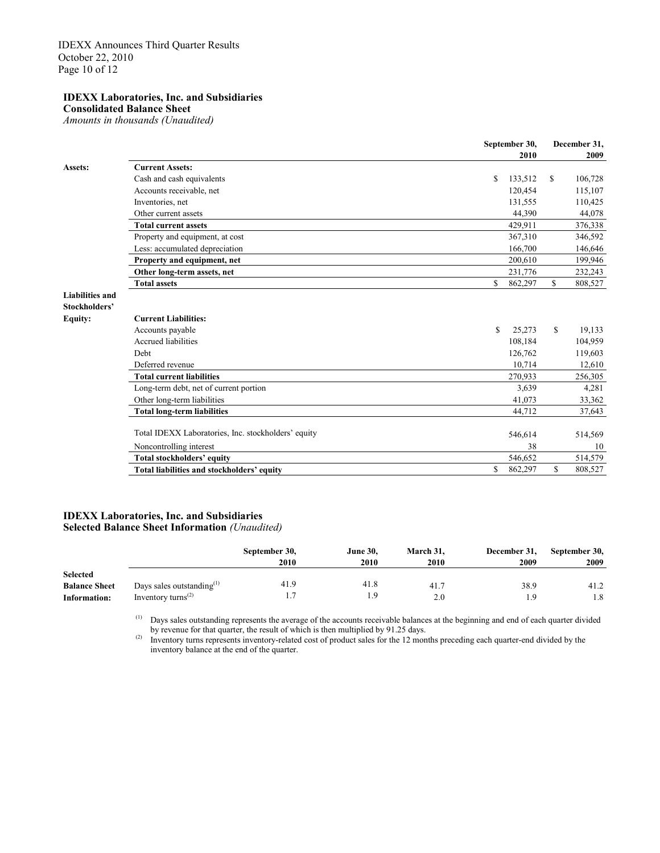**Consolidated Balance Sheet**

*Amounts in thousands (Unaudited)*

|                        |                                                     | September 30, | December 31,  |  |  |
|------------------------|-----------------------------------------------------|---------------|---------------|--|--|
|                        |                                                     | 2010          | 2009          |  |  |
| Assets:                | <b>Current Assets:</b>                              |               |               |  |  |
|                        | Cash and cash equivalents                           | S<br>133,512  | S<br>106,728  |  |  |
|                        | Accounts receivable, net                            | 120,454       | 115,107       |  |  |
|                        | Inventories, net                                    | 131,555       | 110,425       |  |  |
|                        | Other current assets                                | 44,390        | 44,078        |  |  |
|                        | <b>Total current assets</b>                         | 429,911       | 376,338       |  |  |
|                        | Property and equipment, at cost                     | 367,310       | 346,592       |  |  |
|                        | Less: accumulated depreciation                      | 166,700       | 146,646       |  |  |
|                        | Property and equipment, net                         | 200.610       | 199,946       |  |  |
|                        | Other long-term assets, net                         | 231,776       | 232,243       |  |  |
|                        | <b>Total assets</b>                                 | \$<br>862,297 | \$<br>808,527 |  |  |
| <b>Liabilities and</b> |                                                     |               |               |  |  |
| Stockholders'          |                                                     |               |               |  |  |
| <b>Equity:</b>         | <b>Current Liabilities:</b>                         |               |               |  |  |
|                        | Accounts payable                                    | \$<br>25,273  | \$<br>19,133  |  |  |
|                        | Accrued liabilities                                 | 108,184       | 104,959       |  |  |
|                        | Debt                                                | 126,762       | 119,603       |  |  |
|                        | Deferred revenue                                    | 10,714        | 12,610        |  |  |
|                        | <b>Total current liabilities</b>                    | 270,933       | 256,305       |  |  |
|                        | Long-term debt, net of current portion              | 3.639         | 4,281         |  |  |
|                        | Other long-term liabilities                         | 41.073        | 33,362        |  |  |
|                        | <b>Total long-term liabilities</b>                  | 44,712        | 37,643        |  |  |
|                        | Total IDEXX Laboratories, Inc. stockholders' equity | 546,614       | 514,569       |  |  |
|                        | Noncontrolling interest                             | 38            | 10            |  |  |
|                        | Total stockholders' equity                          | 546,652       | 514,579       |  |  |
|                        | Total liabilities and stockholders' equity          | S<br>862,297  | \$<br>808,527 |  |  |
|                        |                                                     |               |               |  |  |

### **IDEXX Laboratories, Inc. and Subsidiaries Selected Balance Sheet Information** *(Unaudited)*

|                      |                                             | September 30, | <b>June 30.</b> | March 31. | December 31, | September 30, |
|----------------------|---------------------------------------------|---------------|-----------------|-----------|--------------|---------------|
|                      |                                             | 2010          | <b>2010</b>     | 2010      | 2009         | 2009          |
| <b>Selected</b>      |                                             |               |                 |           |              |               |
| <b>Balance Sheet</b> | Days sales outstanding $^{(1)}$             | 41.9          | 41.8            | 41.7      | 38.9         | 41.2          |
| Information:         | Inventory turns <sup><math>(2)</math></sup> |               |                 | 2.0       |              | 1.8           |

(1) Days sales outstanding represents the average of the accounts receivable balances at the beginning and end of each quarter divided by revenue for that quarter, the result of which is then multiplied by 91.25 days.

(2) Inventory turns represents inventory-related cost of product sales for the 12 months preceding each quarter-end divided by the inventory balance at the end of the quarter.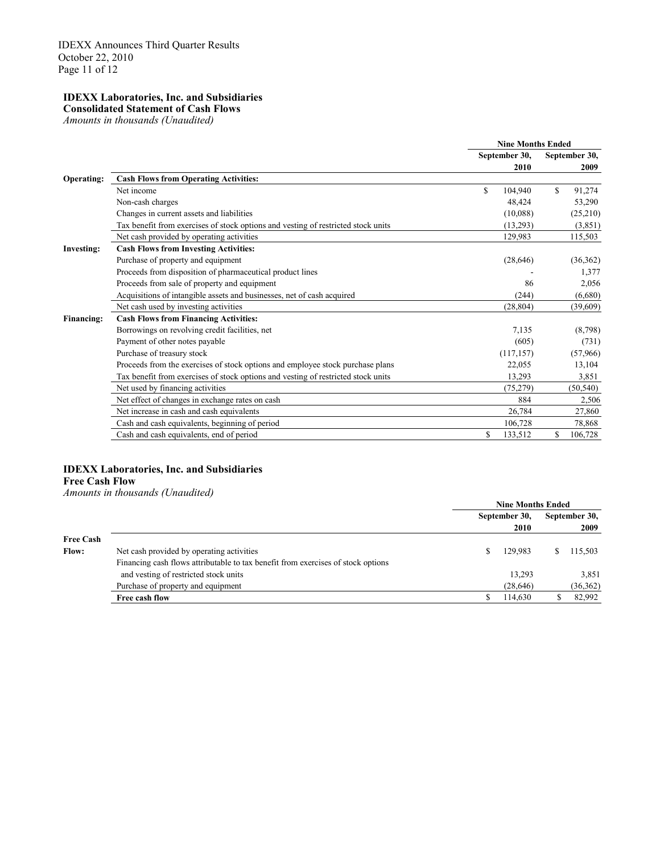### **IDEXX Laboratories, Inc. and Subsidiaries Consolidated Statement of Cash Flows**

*Amounts in thousands (Unaudited)*

|                   |                                                                                   |             | <b>Nine Months Ended</b> |              |               |
|-------------------|-----------------------------------------------------------------------------------|-------------|--------------------------|--------------|---------------|
|                   |                                                                                   |             | September 30,            |              | September 30, |
|                   |                                                                                   |             | 2010                     |              | 2009          |
| Operating:        | <b>Cash Flows from Operating Activities:</b>                                      |             |                          |              |               |
|                   | Net income                                                                        | $\mathbf S$ | 104,940                  | $\mathbb{S}$ | 91,274        |
|                   | Non-cash charges                                                                  |             | 48,424                   |              | 53,290        |
|                   | Changes in current assets and liabilities                                         |             | (10,088)                 |              | (25,210)      |
|                   | Tax benefit from exercises of stock options and vesting of restricted stock units |             | (13,293)                 |              | (3,851)       |
|                   | Net cash provided by operating activities                                         |             | 129,983                  |              | 115,503       |
| <b>Investing:</b> | <b>Cash Flows from Investing Activities:</b>                                      |             |                          |              |               |
|                   | Purchase of property and equipment                                                |             | (28, 646)                |              | (36,362)      |
|                   | Proceeds from disposition of pharmaceutical product lines                         |             |                          |              | 1,377         |
|                   | Proceeds from sale of property and equipment                                      |             | 86                       |              | 2,056         |
|                   | Acquisitions of intangible assets and businesses, net of cash acquired            |             | (244)                    |              | (6,680)       |
|                   | Net cash used by investing activities                                             |             | (28, 804)                |              | (39,609)      |
| <b>Financing:</b> | <b>Cash Flows from Financing Activities:</b>                                      |             |                          |              |               |
|                   | Borrowings on revolving credit facilities, net                                    |             | 7,135                    |              | (8,798)       |
|                   | Payment of other notes payable                                                    |             | (605)                    |              | (731)         |
|                   | Purchase of treasury stock                                                        |             | (117, 157)               |              | (57,966)      |
|                   | Proceeds from the exercises of stock options and employee stock purchase plans    |             | 22,055                   |              | 13,104        |
|                   | Tax benefit from exercises of stock options and vesting of restricted stock units |             | 13.293                   |              | 3.851         |
|                   | Net used by financing activities                                                  |             | (75, 279)                |              | (50, 540)     |
|                   | Net effect of changes in exchange rates on cash                                   |             | 884                      |              | 2,506         |
|                   | Net increase in cash and cash equivalents                                         |             | 26,784                   |              | 27,860        |
|                   | Cash and cash equivalents, beginning of period                                    |             | 106,728                  |              | 78,868        |
|                   | Cash and cash equivalents, end of period                                          | \$          | 133,512                  | S            | 106,728       |

### **IDEXX Laboratories, Inc. and Subsidiaries**

**Free Cash Flow**

*Amounts in thousands (Unaudited)*

|                  |                                                                                  | <b>Nine Months Ended</b><br>September 30,<br>September 30,<br>2010<br>129.983 |  |           |  |  |  |
|------------------|----------------------------------------------------------------------------------|-------------------------------------------------------------------------------|--|-----------|--|--|--|
|                  |                                                                                  |                                                                               |  |           |  |  |  |
|                  |                                                                                  |                                                                               |  | 2009      |  |  |  |
| <b>Free Cash</b> |                                                                                  |                                                                               |  |           |  |  |  |
| <b>Flow:</b>     | Net cash provided by operating activities                                        |                                                                               |  | 115,503   |  |  |  |
|                  | Financing cash flows attributable to tax benefit from exercises of stock options |                                                                               |  |           |  |  |  |
|                  | and vesting of restricted stock units                                            | 13.293                                                                        |  | 3,851     |  |  |  |
|                  | Purchase of property and equipment                                               | (28, 646)                                                                     |  | (36, 362) |  |  |  |
|                  | Free cash flow                                                                   | 114,630                                                                       |  | 82,992    |  |  |  |